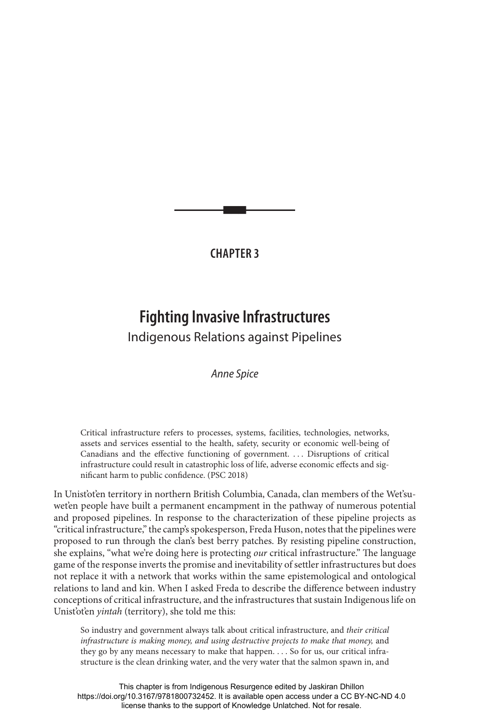# **CHAPTER 3**

nnn

# **Fighting Invasive Infrastructures**

Indigenous Relations against Pipelines

*Anne Spice*

Critical infrastructure refers to processes, systems, facilities, technologies, networks, assets and services essential to the health, safety, security or economic well-being of Canadians and the effective functioning of government. . . . Disruptions of critical infrastructure could result in catastrophic loss of life, adverse economic effects and significant harm to public confidence. (PSC 2018)

In Unist'ot'en territory in northern British Columbia, Canada, clan members of the Wet'suwet'en people have built a permanent encampment in the pathway of numerous potential and proposed pipelines. In response to the characterization of these pipeline projects as "critical infrastructure," the camp's spokesperson, Freda Huson, notes that the pipelines were proposed to run through the clan's best berry patches. By resisting pipeline construction, she explains, "what we're doing here is protecting *our* critical infrastructure." The language game of the response inverts the promise and inevitability of settler infrastructures but does not replace it with a network that works within the same epistemological and ontological relations to land and kin. When I asked Freda to describe the difference between industry conceptions of critical infrastructure, and the infrastructures that sustain Indigenous life on Unist'ot'en *yintah* (territory), she told me this:

So industry and government always talk about critical infrastructure, and *their critical infrastructure is making money, and using destructive projects to make that money,* and they go by any means necessary to make that happen. . . . So for us, our critical infrastructure is the clean drinking water, and the very water that the salmon spawn in, and

This chapter is from Indigenous Resurgence edited by Jaskiran Dhillon https://doi.org/10.3167/9781800732452. It is available open access under a CC BY-NC-ND 4.0 license thanks to the support of Knowledge Unlatched. Not for resale.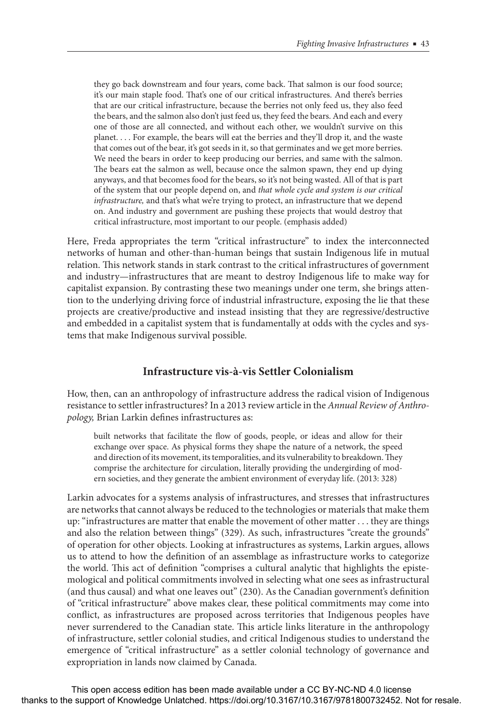they go back downstream and four years, come back. That salmon is our food source; it's our main staple food. That's one of our critical infrastructures. And there's berries that are our critical infrastructure, because the berries not only feed us, they also feed the bears, and the salmon also don't just feed us, they feed the bears. And each and every one of those are all connected, and without each other, we wouldn't survive on this planet. . . . For example, the bears will eat the berries and they'll drop it, and the waste that comes out of the bear, it's got seeds in it, so that germinates and we get more berries. We need the bears in order to keep producing our berries, and same with the salmon. The bears eat the salmon as well, because once the salmon spawn, they end up dying anyways, and that becomes food for the bears, so it's not being wasted. All of that is part of the system that our people depend on, and *that whole cycle and system is our critical infrastructure,* and that's what we're trying to protect, an infrastructure that we depend on. And industry and government are pushing these projects that would destroy that critical infrastructure, most important to our people. (emphasis added)

Here, Freda appropriates the term "critical infrastructure" to index the interconnected networks of human and other-than-human beings that sustain Indigenous life in mutual relation. This network stands in stark contrast to the critical infrastructures of government and industry—infrastructures that are meant to destroy Indigenous life to make way for capitalist expansion. By contrasting these two meanings under one term, she brings attention to the underlying driving force of industrial infrastructure, exposing the lie that these projects are creative/productive and instead insisting that they are regressive/destructive and embedded in a capitalist system that is fundamentally at odds with the cycles and systems that make Indigenous survival possible.

## **Infrastructure vis-à-vis Settler Colonialism**

How, then, can an anthropology of infrastructure address the radical vision of Indigenous resistance to settler infrastructures? In a 2013 review article in the *Annual Review of Anthropology,* Brian Larkin defines infrastructures as:

built networks that facilitate the flow of goods, people, or ideas and allow for their exchange over space. As physical forms they shape the nature of a network, the speed and direction of its movement, its temporalities, and its vulnerability to breakdown. They comprise the architecture for circulation, literally providing the undergirding of modern societies, and they generate the ambient environment of everyday life. (2013: 328)

Larkin advocates for a systems analysis of infrastructures, and stresses that infrastructures are networks that cannot always be reduced to the technologies or materials that make them up: "infrastructures are matter that enable the movement of other matter . . . they are things and also the relation between things" (329). As such, infrastructures "create the grounds" of operation for other objects. Looking at infrastructures as systems, Larkin argues, allows us to attend to how the definition of an assemblage as infrastructure works to categorize the world. This act of definition "comprises a cultural analytic that highlights the epistemological and political commitments involved in selecting what one sees as infrastructural (and thus causal) and what one leaves out" (230). As the Canadian government's definition of "critical infrastructure" above makes clear, these political commitments may come into conflict, as infrastructures are proposed across territories that Indigenous peoples have never surrendered to the Canadian state. This article links literature in the anthropology of infrastructure, settler colonial studies, and critical Indigenous studies to understand the emergence of "critical infrastructure" as a settler colonial technology of governance and expropriation in lands now claimed by Canada.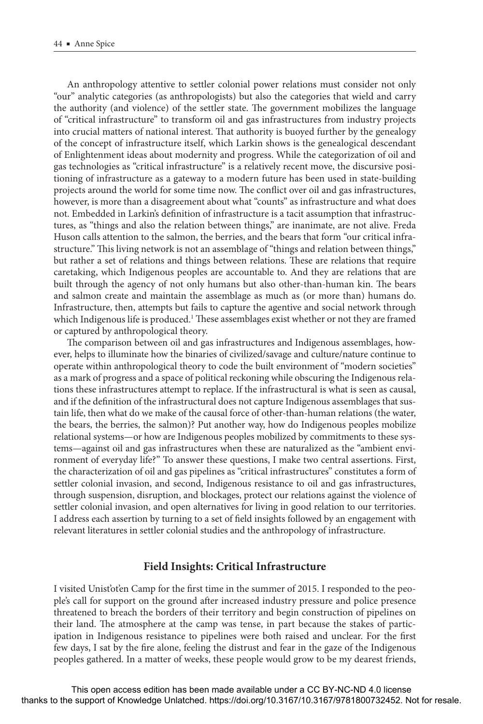An anthropology attentive to settler colonial power relations must consider not only "our" analytic categories (as anthropologists) but also the categories that wield and carry the authority (and violence) of the settler state. The government mobilizes the language of "critical infrastructure" to transform oil and gas infrastructures from industry projects into crucial matters of national interest. That authority is buoyed further by the genealogy of the concept of infrastructure itself, which Larkin shows is the genealogical descendant of Enlightenment ideas about modernity and progress. While the categorization of oil and gas technologies as "critical infrastructure" is a relatively recent move, the discursive positioning of infrastructure as a gateway to a modern future has been used in state-building projects around the world for some time now. The conflict over oil and gas infrastructures, however, is more than a disagreement about what "counts" as infrastructure and what does not. Embedded in Larkin's definition of infrastructure is a tacit assumption that infrastructures, as "things and also the relation between things," are inanimate, are not alive. Freda Huson calls attention to the salmon, the berries, and the bears that form "our critical infrastructure." This living network is not an assemblage of "things and relation between things," but rather a set of relations and things between relations. These are relations that require caretaking, which Indigenous peoples are accountable to. And they are relations that are built through the agency of not only humans but also other-than-human kin. The bears and salmon create and maintain the assemblage as much as (or more than) humans do. Infrastructure, then, attempts but fails to capture the agentive and social network through which Indigenous life is produced.<sup>1</sup> These assemblages exist whether or not they are framed or captured by anthropological theory.

The comparison between oil and gas infrastructures and Indigenous assemblages, however, helps to illuminate how the binaries of civilized/savage and culture/nature continue to operate within anthropological theory to code the built environment of "modern societies" as a mark of progress and a space of political reckoning while obscuring the Indigenous relations these infrastructures attempt to replace. If the infrastructural is what is seen as causal, and if the definition of the infrastructural does not capture Indigenous assemblages that sustain life, then what do we make of the causal force of other-than-human relations (the water, the bears, the berries, the salmon)? Put another way, how do Indigenous peoples mobilize relational systems—or how are Indigenous peoples mobilized by commitments to these systems—against oil and gas infrastructures when these are naturalized as the "ambient environment of everyday life?" To answer these questions, I make two central assertions. First, the characterization of oil and gas pipelines as "critical infrastructures" constitutes a form of settler colonial invasion, and second, Indigenous resistance to oil and gas infrastructures, through suspension, disruption, and blockages, protect our relations against the violence of settler colonial invasion, and open alternatives for living in good relation to our territories. I address each assertion by turning to a set of field insights followed by an engagement with relevant literatures in settler colonial studies and the anthropology of infrastructure.

#### **Field Insights: Critical Infrastructure**

I visited Unist'ot'en Camp for the first time in the summer of 2015. I responded to the people's call for support on the ground after increased industry pressure and police presence threatened to breach the borders of their territory and begin construction of pipelines on their land. The atmosphere at the camp was tense, in part because the stakes of participation in Indigenous resistance to pipelines were both raised and unclear. For the first few days, I sat by the fire alone, feeling the distrust and fear in the gaze of the Indigenous peoples gathered. In a matter of weeks, these people would grow to be my dearest friends,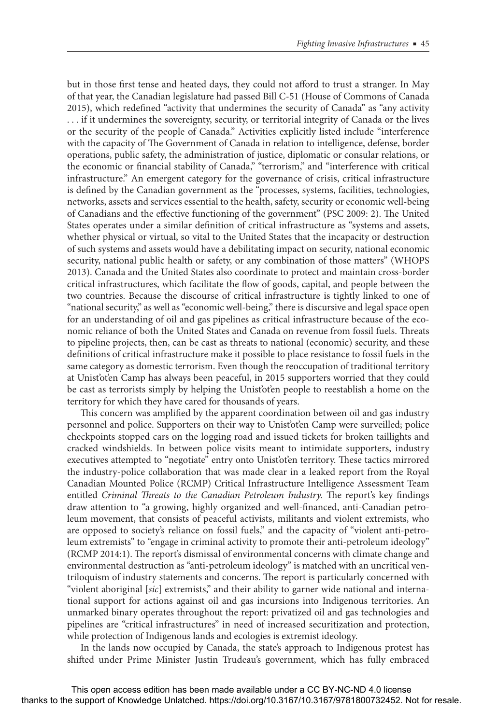but in those first tense and heated days, they could not afford to trust a stranger. In May of that year, the Canadian legislature had passed Bill C-51 (House of Commons of Canada 2015), which redefined "activity that undermines the security of Canada" as "any activity . . . if it undermines the sovereignty, security, or territorial integrity of Canada or the lives or the security of the people of Canada." Activities explicitly listed include "interference with the capacity of The Government of Canada in relation to intelligence, defense, border operations, public safety, the administration of justice, diplomatic or consular relations, or the economic or financial stability of Canada," "terrorism," and "interference with critical infrastructure." An emergent category for the governance of crisis, critical infrastructure is defined by the Canadian government as the "processes, systems, facilities, technologies, networks, assets and services essential to the health, safety, security or economic well-being of Canadians and the effective functioning of the government" (PSC 2009: 2). The United States operates under a similar definition of critical infrastructure as "systems and assets, whether physical or virtual, so vital to the United States that the incapacity or destruction of such systems and assets would have a debilitating impact on security, national economic security, national public health or safety, or any combination of those matters" (WHOPS 2013). Canada and the United States also coordinate to protect and maintain cross-border critical infrastructures, which facilitate the flow of goods, capital, and people between the two countries. Because the discourse of critical infrastructure is tightly linked to one of "national security," as well as "economic well-being," there is discursive and legal space open for an understanding of oil and gas pipelines as critical infrastructure because of the economic reliance of both the United States and Canada on revenue from fossil fuels. Threats to pipeline projects, then, can be cast as threats to national (economic) security, and these definitions of critical infrastructure make it possible to place resistance to fossil fuels in the same category as domestic terrorism. Even though the reoccupation of traditional territory at Unist'ot'en Camp has always been peaceful, in 2015 supporters worried that they could be cast as terrorists simply by helping the Unist'ot'en people to reestablish a home on the territory for which they have cared for thousands of years.

This concern was amplified by the apparent coordination between oil and gas industry personnel and police. Supporters on their way to Unist'ot'en Camp were surveilled; police checkpoints stopped cars on the logging road and issued tickets for broken taillights and cracked windshields. In between police visits meant to intimidate supporters, industry executives attempted to "negotiate" entry onto Unist'ot'en territory. These tactics mirrored the industry-police collaboration that was made clear in a leaked report from the Royal Canadian Mounted Police (RCMP) Critical Infrastructure Intelligence Assessment Team entitled *Criminal Threats to the Canadian Petroleum Industry.* The report's key findings draw attention to "a growing, highly organized and well-financed, anti-Canadian petroleum movement, that consists of peaceful activists, militants and violent extremists, who are opposed to society's reliance on fossil fuels," and the capacity of "violent anti-petroleum extremists" to "engage in criminal activity to promote their anti-petroleum ideology" (RCMP 2014:1). The report's dismissal of environmental concerns with climate change and environmental destruction as "anti-petroleum ideology" is matched with an uncritical ventriloquism of industry statements and concerns. The report is particularly concerned with "violent aboriginal [*sic*] extremists," and their ability to garner wide national and international support for actions against oil and gas incursions into Indigenous territories. An unmarked binary operates throughout the report: privatized oil and gas technologies and pipelines are "critical infrastructures" in need of increased securitization and protection, while protection of Indigenous lands and ecologies is extremist ideology.

In the lands now occupied by Canada, the state's approach to Indigenous protest has shifted under Prime Minister Justin Trudeau's government, which has fully embraced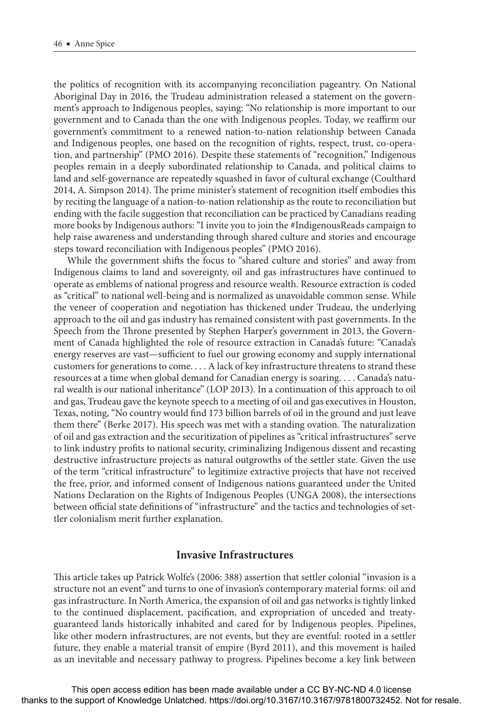the politics of recognition with its accompanying reconciliation pageantry. On National Aboriginal Day in 2016, the Trudeau administration released a statement on the government's approach to Indigenous peoples, saying: "No relationship is more important to our government and to Canada than the one with Indigenous peoples. Today, we reaffirm our government's commitment to a renewed nation-to-nation relationship between Canada and Indigenous peoples, one based on the recognition of rights, respect, trust, co-operation, and partnership" (PMO 2016). Despite these statements of "recognition," Indigenous peoples remain in a deeply subordinated relationship to Canada, and political claims to land and self-governance are repeatedly squashed in favor of cultural exchange (Coulthard 2014, A. Simpson 2014). The prime minister's statement of recognition itself embodies this by reciting the language of a nation-to-nation relationship as the route to reconciliation but ending with the facile suggestion that reconciliation can be practiced by Canadians reading more books by Indigenous authors: "I invite you to join the #IndigenousReads campaign to help raise awareness and understanding through shared culture and stories and encourage steps toward reconciliation with Indigenous peoples" (PMO 2016).

While the government shifts the focus to "shared culture and stories" and away from Indigenous claims to land and sovereignty, oil and gas infrastructures have continued to operate as emblems of national progress and resource wealth. Resource extraction is coded as "critical" to national well-being and is normalized as unavoidable common sense. While the veneer of cooperation and negotiation has thickened under Trudeau, the underlying approach to the oil and gas industry has remained consistent with past governments. In the Speech from the Throne presented by Stephen Harper's government in 2013, the Government of Canada highlighted the role of resource extraction in Canada's future: "Canada's energy reserves are vast—sufficient to fuel our growing economy and supply international customers for generations to come. . . . A lack of key infrastructure threatens to strand these resources at a time when global demand for Canadian energy is soaring. . . . Canada's natural wealth is our national inheritance" (LOP 2013). In a continuation of this approach to oil and gas, Trudeau gave the keynote speech to a meeting of oil and gas executives in Houston, Texas, noting, "No country would find 173 billion barrels of oil in the ground and just leave them there" (Berke 2017). His speech was met with a standing ovation. The naturalization of oil and gas extraction and the securitization of pipelines as "critical infrastructures" serve to link industry profits to national security, criminalizing Indigenous dissent and recasting destructive infrastructure projects as natural outgrowths of the settler state. Given the use of the term "critical infrastructure" to legitimize extractive projects that have not received the free, prior, and informed consent of Indigenous nations guaranteed under the United Nations Declaration on the Rights of Indigenous Peoples (UNGA 2008), the intersections between official state definitions of "infrastructure" and the tactics and technologies of settler colonialism merit further explanation.

### **Invasive Infrastructures**

This article takes up Patrick Wolfe's (2006: 388) assertion that settler colonial "invasion is a structure not an event" and turns to one of invasion's contemporary material forms: oil and gas infrastructure. In North America, the expansion of oil and gas networks is tightly linked to the continued displacement, pacification, and expropriation of unceded and treatyguaranteed lands historically inhabited and cared for by Indigenous peoples. Pipelines, like other modern infrastructures, are not events, but they are eventful: rooted in a settler future, they enable a material transit of empire (Byrd 2011), and this movement is hailed as an inevitable and necessary pathway to progress. Pipelines become a key link between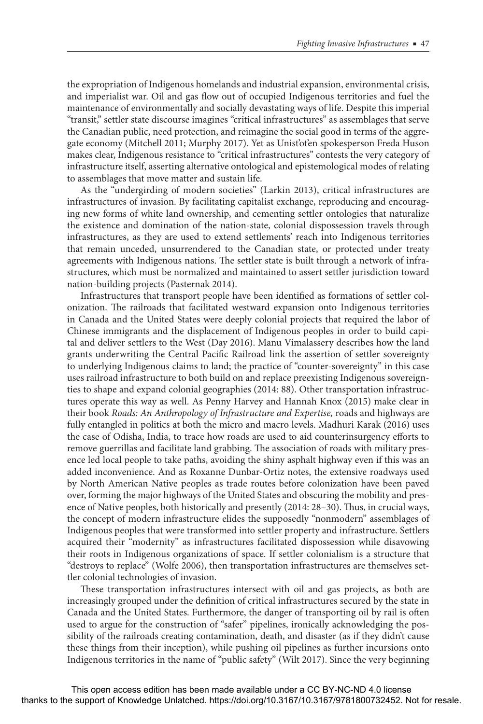the expropriation of Indigenous homelands and industrial expansion, environmental crisis, and imperialist war. Oil and gas flow out of occupied Indigenous territories and fuel the maintenance of environmentally and socially devastating ways of life. Despite this imperial "transit," settler state discourse imagines "critical infrastructures" as assemblages that serve the Canadian public, need protection, and reimagine the social good in terms of the aggregate economy (Mitchell 2011; Murphy 2017). Yet as Unist'ot'en spokesperson Freda Huson makes clear, Indigenous resistance to "critical infrastructures" contests the very category of infrastructure itself, asserting alternative ontological and epistemological modes of relating to assemblages that move matter and sustain life.

As the "undergirding of modern societies" (Larkin 2013), critical infrastructures are infrastructures of invasion. By facilitating capitalist exchange, reproducing and encouraging new forms of white land ownership, and cementing settler ontologies that naturalize the existence and domination of the nation-state, colonial dispossession travels through infrastructures, as they are used to extend settlements' reach into Indigenous territories that remain unceded, unsurrendered to the Canadian state, or protected under treaty agreements with Indigenous nations. The settler state is built through a network of infrastructures, which must be normalized and maintained to assert settler jurisdiction toward nation-building projects (Pasternak 2014).

Infrastructures that transport people have been identified as formations of settler colonization. The railroads that facilitated westward expansion onto Indigenous territories in Canada and the United States were deeply colonial projects that required the labor of Chinese immigrants and the displacement of Indigenous peoples in order to build capital and deliver settlers to the West (Day 2016). Manu Vimalassery describes how the land grants underwriting the Central Pacific Railroad link the assertion of settler sovereignty to underlying Indigenous claims to land; the practice of "counter-sovereignty" in this case uses railroad infrastructure to both build on and replace preexisting Indigenous sovereignties to shape and expand colonial geographies (2014: 88). Other transportation infrastructures operate this way as well. As Penny Harvey and Hannah Knox (2015) make clear in their book *Roads: An Anthropology of Infrastructure and Expertise,* roads and highways are fully entangled in politics at both the micro and macro levels. Madhuri Karak (2016) uses the case of Odisha, India, to trace how roads are used to aid counterinsurgency efforts to remove guerrillas and facilitate land grabbing. The association of roads with military presence led local people to take paths, avoiding the shiny asphalt highway even if this was an added inconvenience. And as Roxanne Dunbar-Ortiz notes, the extensive roadways used by North American Native peoples as trade routes before colonization have been paved over, forming the major highways of the United States and obscuring the mobility and presence of Native peoples, both historically and presently (2014: 28–30). Thus, in crucial ways, the concept of modern infrastructure elides the supposedly "nonmodern" assemblages of Indigenous peoples that were transformed into settler property and infrastructure. Settlers acquired their "modernity" as infrastructures facilitated dispossession while disavowing their roots in Indigenous organizations of space. If settler colonialism is a structure that "destroys to replace" (Wolfe 2006), then transportation infrastructures are themselves settler colonial technologies of invasion.

These transportation infrastructures intersect with oil and gas projects, as both are increasingly grouped under the definition of critical infrastructures secured by the state in Canada and the United States. Furthermore, the danger of transporting oil by rail is often used to argue for the construction of "safer" pipelines, ironically acknowledging the possibility of the railroads creating contamination, death, and disaster (as if they didn't cause these things from their inception), while pushing oil pipelines as further incursions onto Indigenous territories in the name of "public safety" (Wilt 2017). Since the very beginning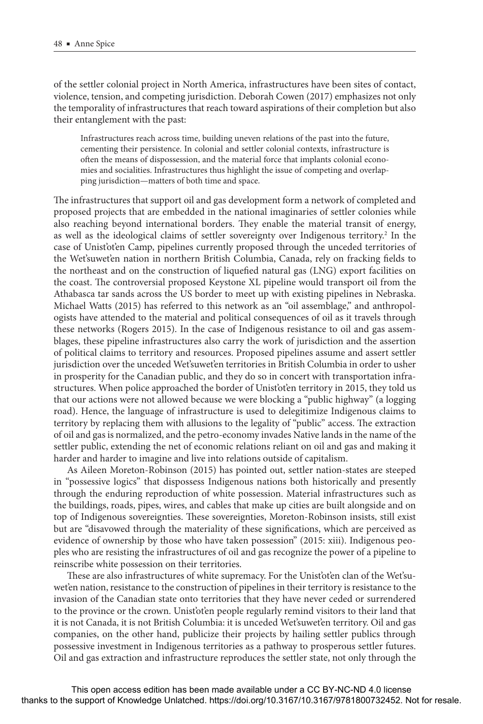of the settler colonial project in North America, infrastructures have been sites of contact, violence, tension, and competing jurisdiction. Deborah Cowen (2017) emphasizes not only the temporality of infrastructures that reach toward aspirations of their completion but also their entanglement with the past:

Infrastructures reach across time, building uneven relations of the past into the future, cementing their persistence. In colonial and settler colonial contexts, infrastructure is often the means of dispossession, and the material force that implants colonial economies and socialities. Infrastructures thus highlight the issue of competing and overlapping jurisdiction—matters of both time and space.

The infrastructures that support oil and gas development form a network of completed and proposed projects that are embedded in the national imaginaries of settler colonies while also reaching beyond international borders. They enable the material transit of energy, as well as the ideological claims of settler sovereignty over Indigenous territory.<sup>2</sup> In the case of Unist'ot'en Camp, pipelines currently proposed through the unceded territories of the Wet'suwet'en nation in northern British Columbia, Canada, rely on fracking fields to the northeast and on the construction of liquefied natural gas (LNG) export facilities on the coast. The controversial proposed Keystone XL pipeline would transport oil from the Athabasca tar sands across the US border to meet up with existing pipelines in Nebraska. Michael Watts (2015) has referred to this network as an "oil assemblage," and anthropologists have attended to the material and political consequences of oil as it travels through these networks (Rogers 2015). In the case of Indigenous resistance to oil and gas assemblages, these pipeline infrastructures also carry the work of jurisdiction and the assertion of political claims to territory and resources. Proposed pipelines assume and assert settler jurisdiction over the unceded Wet'suwet'en territories in British Columbia in order to usher in prosperity for the Canadian public, and they do so in concert with transportation infrastructures. When police approached the border of Unist'ot'en territory in 2015, they told us that our actions were not allowed because we were blocking a "public highway" (a logging road). Hence, the language of infrastructure is used to delegitimize Indigenous claims to territory by replacing them with allusions to the legality of "public" access. The extraction of oil and gas is normalized, and the petro-economy invades Native lands in the name of the settler public, extending the net of economic relations reliant on oil and gas and making it harder and harder to imagine and live into relations outside of capitalism.

As Aileen Moreton-Robinson (2015) has pointed out, settler nation-states are steeped in "possessive logics" that dispossess Indigenous nations both historically and presently through the enduring reproduction of white possession. Material infrastructures such as the buildings, roads, pipes, wires, and cables that make up cities are built alongside and on top of Indigenous sovereignties. These sovereignties, Moreton-Robinson insists, still exist but are "disavowed through the materiality of these significations, which are perceived as evidence of ownership by those who have taken possession" (2015: xiii). Indigenous peoples who are resisting the infrastructures of oil and gas recognize the power of a pipeline to reinscribe white possession on their territories.

These are also infrastructures of white supremacy. For the Unist'ot'en clan of the Wet'suwet'en nation, resistance to the construction of pipelines in their territory is resistance to the invasion of the Canadian state onto territories that they have never ceded or surrendered to the province or the crown. Unist'ot'en people regularly remind visitors to their land that it is not Canada, it is not British Columbia: it is unceded Wet'suwet'en territory. Oil and gas companies, on the other hand, publicize their projects by hailing settler publics through possessive investment in Indigenous territories as a pathway to prosperous settler futures. Oil and gas extraction and infrastructure reproduces the settler state, not only through the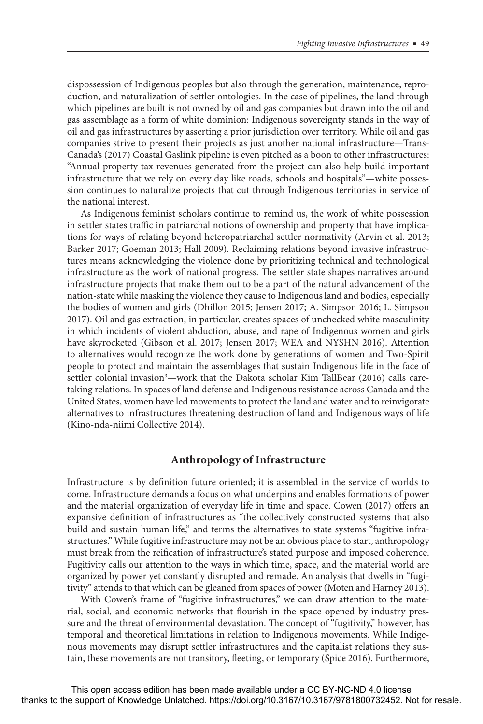dispossession of Indigenous peoples but also through the generation, maintenance, reproduction, and naturalization of settler ontologies. In the case of pipelines, the land through which pipelines are built is not owned by oil and gas companies but drawn into the oil and gas assemblage as a form of white dominion: Indigenous sovereignty stands in the way of oil and gas infrastructures by asserting a prior jurisdiction over territory. While oil and gas companies strive to present their projects as just another national infrastructure—Trans-Canada's (2017) Coastal Gaslink pipeline is even pitched as a boon to other infrastructures: "Annual property tax revenues generated from the project can also help build important infrastructure that we rely on every day like roads, schools and hospitals"—white possession continues to naturalize projects that cut through Indigenous territories in service of the national interest.

As Indigenous feminist scholars continue to remind us, the work of white possession in settler states traffic in patriarchal notions of ownership and property that have implications for ways of relating beyond heteropatriarchal settler normativity (Arvin et al. 2013; Barker 2017; Goeman 2013; Hall 2009). Reclaiming relations beyond invasive infrastructures means acknowledging the violence done by prioritizing technical and technological infrastructure as the work of national progress. The settler state shapes narratives around infrastructure projects that make them out to be a part of the natural advancement of the nation-state while masking the violence they cause to Indigenous land and bodies, especially the bodies of women and girls (Dhillon 2015; Jensen 2017; A. Simpson 2016; L. Simpson 2017). Oil and gas extraction, in particular, creates spaces of unchecked white masculinity in which incidents of violent abduction, abuse, and rape of Indigenous women and girls have skyrocketed (Gibson et al. 2017; Jensen 2017; WEA and NYSHN 2016). Attention to alternatives would recognize the work done by generations of women and Two-Spirit people to protect and maintain the assemblages that sustain Indigenous life in the face of settler colonial invasion<sup>3</sup>—work that the Dakota scholar Kim TallBear (2016) calls caretaking relations. In spaces of land defense and Indigenous resistance across Canada and the United States, women have led movements to protect the land and water and to reinvigorate alternatives to infrastructures threatening destruction of land and Indigenous ways of life (Kino-nda-niimi Collective 2014).

### **Anthropology of Infrastructure**

Infrastructure is by definition future oriented; it is assembled in the service of worlds to come. Infrastructure demands a focus on what underpins and enables formations of power and the material organization of everyday life in time and space. Cowen (2017) offers an expansive definition of infrastructures as "the collectively constructed systems that also build and sustain human life," and terms the alternatives to state systems "fugitive infrastructures." While fugitive infrastructure may not be an obvious place to start, anthropology must break from the reification of infrastructure's stated purpose and imposed coherence. Fugitivity calls our attention to the ways in which time, space, and the material world are organized by power yet constantly disrupted and remade. An analysis that dwells in "fugitivity" attends to that which can be gleaned from spaces of power (Moten and Harney 2013).

With Cowen's frame of "fugitive infrastructures," we can draw attention to the material, social, and economic networks that flourish in the space opened by industry pressure and the threat of environmental devastation. The concept of "fugitivity," however, has temporal and theoretical limitations in relation to Indigenous movements. While Indigenous movements may disrupt settler infrastructures and the capitalist relations they sustain, these movements are not transitory, fleeting, or temporary (Spice 2016). Furthermore,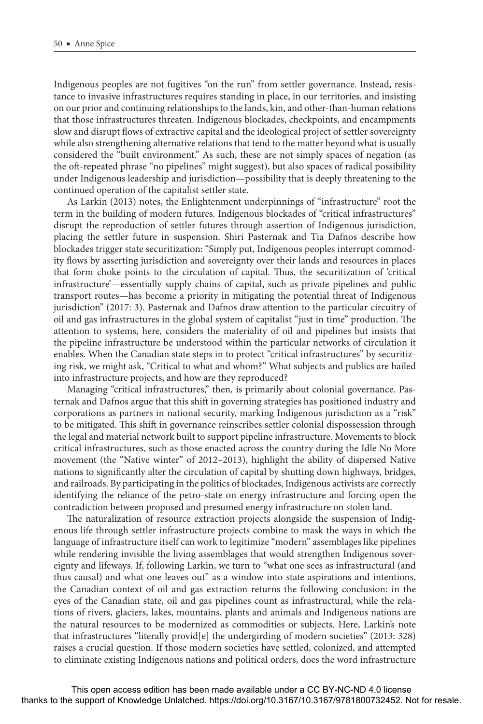Indigenous peoples are not fugitives "on the run" from settler governance. Instead, resistance to invasive infrastructures requires standing in place, in our territories, and insisting on our prior and continuing relationships to the lands, kin, and other-than-human relations that those infrastructures threaten. Indigenous blockades, checkpoints, and encampments slow and disrupt flows of extractive capital and the ideological project of settler sovereignty while also strengthening alternative relations that tend to the matter beyond what is usually considered the "built environment." As such, these are not simply spaces of negation (as the oft-repeated phrase "no pipelines" might suggest), but also spaces of radical possibility under Indigenous leadership and jurisdiction—possibility that is deeply threatening to the continued operation of the capitalist settler state.

As Larkin (2013) notes, the Enlightenment underpinnings of "infrastructure" root the term in the building of modern futures. Indigenous blockades of "critical infrastructures" disrupt the reproduction of settler futures through assertion of Indigenous jurisdiction, placing the settler future in suspension. Shiri Pasternak and Tia Dafnos describe how blockades trigger state securitization: "Simply put, Indigenous peoples interrupt commodity flows by asserting jurisdiction and sovereignty over their lands and resources in places that form choke points to the circulation of capital. Thus, the securitization of 'critical infrastructure'—essentially supply chains of capital, such as private pipelines and public transport routes—has become a priority in mitigating the potential threat of Indigenous jurisdiction" (2017: 3). Pasternak and Dafnos draw attention to the particular circuitry of oil and gas infrastructures in the global system of capitalist "just in time" production. The attention to systems, here, considers the materiality of oil and pipelines but insists that the pipeline infrastructure be understood within the particular networks of circulation it enables. When the Canadian state steps in to protect "critical infrastructures" by securitizing risk, we might ask, "Critical to what and whom?" What subjects and publics are hailed into infrastructure projects, and how are they reproduced?

Managing "critical infrastructures," then, is primarily about colonial governance. Pasternak and Dafnos argue that this shift in governing strategies has positioned industry and corporations as partners in national security, marking Indigenous jurisdiction as a "risk" to be mitigated. This shift in governance reinscribes settler colonial dispossession through the legal and material network built to support pipeline infrastructure. Movements to block critical infrastructures, such as those enacted across the country during the Idle No More movement (the "Native winter" of 2012–2013), highlight the ability of dispersed Native nations to significantly alter the circulation of capital by shutting down highways, bridges, and railroads. By participating in the politics of blockades, Indigenous activists are correctly identifying the reliance of the petro-state on energy infrastructure and forcing open the contradiction between proposed and presumed energy infrastructure on stolen land.

The naturalization of resource extraction projects alongside the suspension of Indigenous life through settler infrastructure projects combine to mask the ways in which the language of infrastructure itself can work to legitimize "modern" assemblages like pipelines while rendering invisible the living assemblages that would strengthen Indigenous sovereignty and lifeways. If, following Larkin, we turn to "what one sees as infrastructural (and thus causal) and what one leaves out" as a window into state aspirations and intentions, the Canadian context of oil and gas extraction returns the following conclusion: in the eyes of the Canadian state, oil and gas pipelines count as infrastructural, while the relations of rivers, glaciers, lakes, mountains, plants and animals and Indigenous nations are the natural resources to be modernized as commodities or subjects. Here, Larkin's note that infrastructures "literally provid[e] the undergirding of modern societies" (2013: 328) raises a crucial question. If those modern societies have settled, colonized, and attempted to eliminate existing Indigenous nations and political orders, does the word infrastructure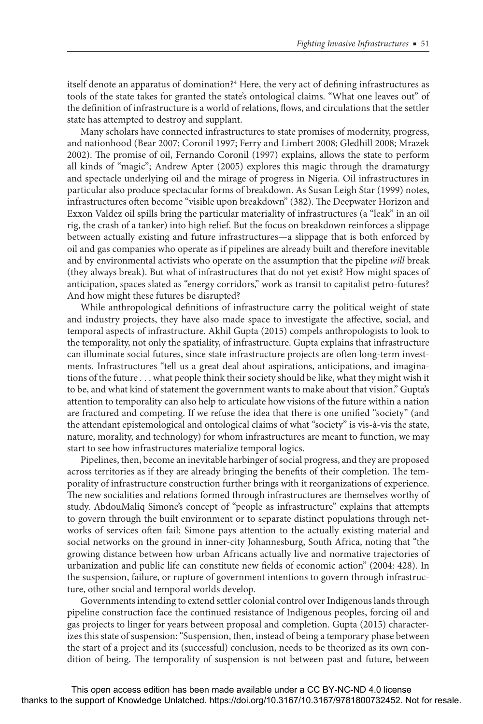itself denote an apparatus of domination?4 Here, the very act of defining infrastructures as tools of the state takes for granted the state's ontological claims. "What one leaves out" of the definition of infrastructure is a world of relations, flows, and circulations that the settler state has attempted to destroy and supplant.

Many scholars have connected infrastructures to state promises of modernity, progress, and nationhood (Bear 2007; Coronil 1997; Ferry and Limbert 2008; Gledhill 2008; Mrazek 2002). The promise of oil, Fernando Coronil (1997) explains, allows the state to perform all kinds of "magic"; Andrew Apter (2005) explores this magic through the dramaturgy and spectacle underlying oil and the mirage of progress in Nigeria. Oil infrastructures in particular also produce spectacular forms of breakdown. As Susan Leigh Star (1999) notes, infrastructures often become "visible upon breakdown" (382). The Deepwater Horizon and Exxon Valdez oil spills bring the particular materiality of infrastructures (a "leak" in an oil rig, the crash of a tanker) into high relief. But the focus on breakdown reinforces a slippage between actually existing and future infrastructures—a slippage that is both enforced by oil and gas companies who operate as if pipelines are already built and therefore inevitable and by environmental activists who operate on the assumption that the pipeline *will* break (they always break). But what of infrastructures that do not yet exist? How might spaces of anticipation, spaces slated as "energy corridors," work as transit to capitalist petro-futures? And how might these futures be disrupted?

While anthropological definitions of infrastructure carry the political weight of state and industry projects, they have also made space to investigate the affective, social, and temporal aspects of infrastructure. Akhil Gupta (2015) compels anthropologists to look to the temporality, not only the spatiality, of infrastructure. Gupta explains that infrastructure can illuminate social futures, since state infrastructure projects are often long-term investments. Infrastructures "tell us a great deal about aspirations, anticipations, and imaginations of the future . . . what people think their society should be like, what they might wish it to be, and what kind of statement the government wants to make about that vision." Gupta's attention to temporality can also help to articulate how visions of the future within a nation are fractured and competing. If we refuse the idea that there is one unified "society" (and the attendant epistemological and ontological claims of what "society" is vis-à-vis the state, nature, morality, and technology) for whom infrastructures are meant to function, we may start to see how infrastructures materialize temporal logics.

Pipelines, then, become an inevitable harbinger of social progress, and they are proposed across territories as if they are already bringing the benefits of their completion. The temporality of infrastructure construction further brings with it reorganizations of experience. The new socialities and relations formed through infrastructures are themselves worthy of study. AbdouMaliq Simone's concept of "people as infrastructure" explains that attempts to govern through the built environment or to separate distinct populations through networks of services often fail; Simone pays attention to the actually existing material and social networks on the ground in inner-city Johannesburg, South Africa, noting that "the growing distance between how urban Africans actually live and normative trajectories of urbanization and public life can constitute new fields of economic action" (2004: 428). In the suspension, failure, or rupture of government intentions to govern through infrastructure, other social and temporal worlds develop.

Governments intending to extend settler colonial control over Indigenous lands through pipeline construction face the continued resistance of Indigenous peoples, forcing oil and gas projects to linger for years between proposal and completion. Gupta (2015) characterizes this state of suspension: "Suspension, then, instead of being a temporary phase between the start of a project and its (successful) conclusion, needs to be theorized as its own condition of being. The temporality of suspension is not between past and future, between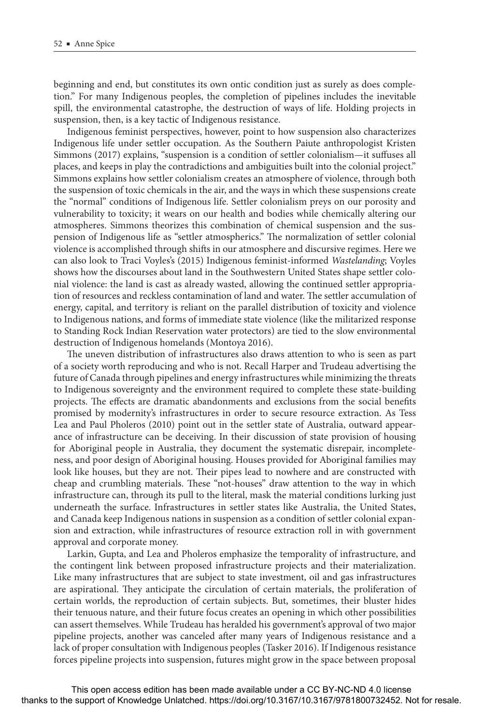beginning and end, but constitutes its own ontic condition just as surely as does completion." For many Indigenous peoples, the completion of pipelines includes the inevitable spill, the environmental catastrophe, the destruction of ways of life. Holding projects in suspension, then, is a key tactic of Indigenous resistance.

Indigenous feminist perspectives, however, point to how suspension also characterizes Indigenous life under settler occupation. As the Southern Paiute anthropologist Kristen Simmons (2017) explains, "suspension is a condition of settler colonialism—it suffuses all places, and keeps in play the contradictions and ambiguities built into the colonial project." Simmons explains how settler colonialism creates an atmosphere of violence, through both the suspension of toxic chemicals in the air, and the ways in which these suspensions create the "normal" conditions of Indigenous life. Settler colonialism preys on our porosity and vulnerability to toxicity; it wears on our health and bodies while chemically altering our atmospheres. Simmons theorizes this combination of chemical suspension and the suspension of Indigenous life as "settler atmospherics." The normalization of settler colonial violence is accomplished through shifts in our atmosphere and discursive regimes. Here we can also look to Traci Voyles's (2015) Indigenous feminist-informed *Wastelanding*; Voyles shows how the discourses about land in the Southwestern United States shape settler colonial violence: the land is cast as already wasted, allowing the continued settler appropriation of resources and reckless contamination of land and water. The settler accumulation of energy, capital, and territory is reliant on the parallel distribution of toxicity and violence to Indigenous nations, and forms of immediate state violence (like the militarized response to Standing Rock Indian Reservation water protectors) are tied to the slow environmental destruction of Indigenous homelands (Montoya 2016).

The uneven distribution of infrastructures also draws attention to who is seen as part of a society worth reproducing and who is not. Recall Harper and Trudeau advertising the future of Canada through pipelines and energy infrastructures while minimizing the threats to Indigenous sovereignty and the environment required to complete these state-building projects. The effects are dramatic abandonments and exclusions from the social benefits promised by modernity's infrastructures in order to secure resource extraction. As Tess Lea and Paul Pholeros (2010) point out in the settler state of Australia, outward appearance of infrastructure can be deceiving. In their discussion of state provision of housing for Aboriginal people in Australia, they document the systematic disrepair, incompleteness, and poor design of Aboriginal housing. Houses provided for Aboriginal families may look like houses, but they are not. Their pipes lead to nowhere and are constructed with cheap and crumbling materials. These "not-houses" draw attention to the way in which infrastructure can, through its pull to the literal, mask the material conditions lurking just underneath the surface. Infrastructures in settler states like Australia, the United States, and Canada keep Indigenous nations in suspension as a condition of settler colonial expansion and extraction, while infrastructures of resource extraction roll in with government approval and corporate money.

Larkin, Gupta, and Lea and Pholeros emphasize the temporality of infrastructure, and the contingent link between proposed infrastructure projects and their materialization. Like many infrastructures that are subject to state investment, oil and gas infrastructures are aspirational. They anticipate the circulation of certain materials, the proliferation of certain worlds, the reproduction of certain subjects. But, sometimes, their bluster hides their tenuous nature, and their future focus creates an opening in which other possibilities can assert themselves. While Trudeau has heralded his government's approval of two major pipeline projects, another was canceled after many years of Indigenous resistance and a lack of proper consultation with Indigenous peoples (Tasker 2016). If Indigenous resistance forces pipeline projects into suspension, futures might grow in the space between proposal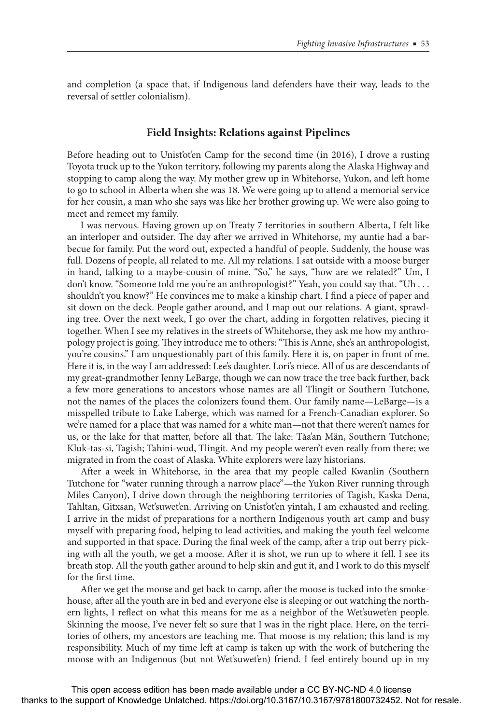and completion (a space that, if Indigenous land defenders have their way, leads to the reversal of settler colonialism).

#### **Field Insights: Relations against Pipelines**

Before heading out to Unist'ot'en Camp for the second time (in 2016), I drove a rusting Toyota truck up to the Yukon territory, following my parents along the Alaska Highway and stopping to camp along the way. My mother grew up in Whitehorse, Yukon, and left home to go to school in Alberta when she was 18. We were going up to attend a memorial service for her cousin, a man who she says was like her brother growing up. We were also going to meet and remeet my family.

I was nervous. Having grown up on Treaty 7 territories in southern Alberta, I felt like an interloper and outsider. The day after we arrived in Whitehorse, my auntie had a barbecue for family. Put the word out, expected a handful of people. Suddenly, the house was full. Dozens of people, all related to me. All my relations. I sat outside with a moose burger in hand, talking to a maybe-cousin of mine. "So," he says, "how are we related?" Um, I don't know. "Someone told me you're an anthropologist?" Yeah, you could say that. "Uh . . . shouldn't you know?" He convinces me to make a kinship chart. I find a piece of paper and sit down on the deck. People gather around, and I map out our relations. A giant, sprawling tree. Over the next week, I go over the chart, adding in forgotten relatives, piecing it together. When I see my relatives in the streets of Whitehorse, they ask me how my anthropology project is going. They introduce me to others: "This is Anne, she's an anthropologist, you're cousins." I am unquestionably part of this family. Here it is, on paper in front of me. Here it is, in the way I am addressed: Lee's daughter. Lori's niece. All of us are descendants of my great-grandmother Jenny LeBarge, though we can now trace the tree back further, back a few more generations to ancestors whose names are all Tlingit or Southern Tutchone, not the names of the places the colonizers found them. Our family name—LeBarge—is a misspelled tribute to Lake Laberge, which was named for a French-Canadian explorer. So we're named for a place that was named for a white man—not that there weren't names for us, or the lake for that matter, before all that. The lake: Tàa'an Män, Southern Tutchone; Kluk-tas-si, Tagish; Tahini-wud, Tlingit. And my people weren't even really from there; we migrated in from the coast of Alaska. White explorers were lazy historians.

After a week in Whitehorse, in the area that my people called Kwanlin (Southern Tutchone for "water running through a narrow place"—the Yukon River running through Miles Canyon), I drive down through the neighboring territories of Tagish, Kaska Dena, Tahltan, Gitxsan, Wet'suwet'en. Arriving on Unist'ot'en yintah, I am exhausted and reeling. I arrive in the midst of preparations for a northern Indigenous youth art camp and busy myself with preparing food, helping to lead activities, and making the youth feel welcome and supported in that space. During the final week of the camp, after a trip out berry picking with all the youth, we get a moose. After it is shot, we run up to where it fell. I see its breath stop. All the youth gather around to help skin and gut it, and I work to do this myself for the first time.

After we get the moose and get back to camp, after the moose is tucked into the smokehouse, after all the youth are in bed and everyone else is sleeping or out watching the northern lights, I reflect on what this means for me as a neighbor of the Wet'suwet'en people. Skinning the moose, I've never felt so sure that I was in the right place. Here, on the territories of others, my ancestors are teaching me. That moose is my relation; this land is my responsibility. Much of my time left at camp is taken up with the work of butchering the moose with an Indigenous (but not Wet'suwet'en) friend. I feel entirely bound up in my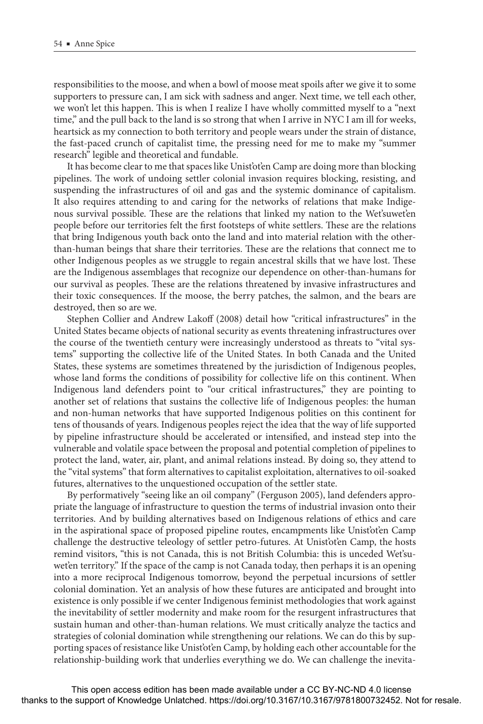responsibilities to the moose, and when a bowl of moose meat spoils after we give it to some supporters to pressure can, I am sick with sadness and anger. Next time, we tell each other, we won't let this happen. This is when I realize I have wholly committed myself to a "next time," and the pull back to the land is so strong that when I arrive in NYC I am ill for weeks, heartsick as my connection to both territory and people wears under the strain of distance, the fast-paced crunch of capitalist time, the pressing need for me to make my "summer research" legible and theoretical and fundable.

It has become clear to me that spaces like Unist'ot'en Camp are doing more than blocking pipelines. The work of undoing settler colonial invasion requires blocking, resisting, and suspending the infrastructures of oil and gas and the systemic dominance of capitalism. It also requires attending to and caring for the networks of relations that make Indigenous survival possible. These are the relations that linked my nation to the Wet'suwet'en people before our territories felt the first footsteps of white settlers. These are the relations that bring Indigenous youth back onto the land and into material relation with the otherthan-human beings that share their territories. These are the relations that connect me to other Indigenous peoples as we struggle to regain ancestral skills that we have lost. These are the Indigenous assemblages that recognize our dependence on other-than-humans for our survival as peoples. These are the relations threatened by invasive infrastructures and their toxic consequences. If the moose, the berry patches, the salmon, and the bears are destroyed, then so are we.

Stephen Collier and Andrew Lakoff (2008) detail how "critical infrastructures" in the United States became objects of national security as events threatening infrastructures over the course of the twentieth century were increasingly understood as threats to "vital systems" supporting the collective life of the United States. In both Canada and the United States, these systems are sometimes threatened by the jurisdiction of Indigenous peoples, whose land forms the conditions of possibility for collective life on this continent. When Indigenous land defenders point to "our critical infrastructures," they are pointing to another set of relations that sustains the collective life of Indigenous peoples: the human and non-human networks that have supported Indigenous polities on this continent for tens of thousands of years. Indigenous peoples reject the idea that the way of life supported by pipeline infrastructure should be accelerated or intensified, and instead step into the vulnerable and volatile space between the proposal and potential completion of pipelines to protect the land, water, air, plant, and animal relations instead. By doing so, they attend to the "vital systems" that form alternatives to capitalist exploitation, alternatives to oil-soaked futures, alternatives to the unquestioned occupation of the settler state.

By performatively "seeing like an oil company" (Ferguson 2005), land defenders appropriate the language of infrastructure to question the terms of industrial invasion onto their territories. And by building alternatives based on Indigenous relations of ethics and care in the aspirational space of proposed pipeline routes, encampments like Unist'ot'en Camp challenge the destructive teleology of settler petro-futures. At Unist'ot'en Camp, the hosts remind visitors, "this is not Canada, this is not British Columbia: this is unceded Wet'suwet'en territory." If the space of the camp is not Canada today, then perhaps it is an opening into a more reciprocal Indigenous tomorrow, beyond the perpetual incursions of settler colonial domination. Yet an analysis of how these futures are anticipated and brought into existence is only possible if we center Indigenous feminist methodologies that work against the inevitability of settler modernity and make room for the resurgent infrastructures that sustain human and other-than-human relations. We must critically analyze the tactics and strategies of colonial domination while strengthening our relations. We can do this by supporting spaces of resistance like Unist'ot'en Camp, by holding each other accountable for the relationship-building work that underlies everything we do. We can challenge the inevita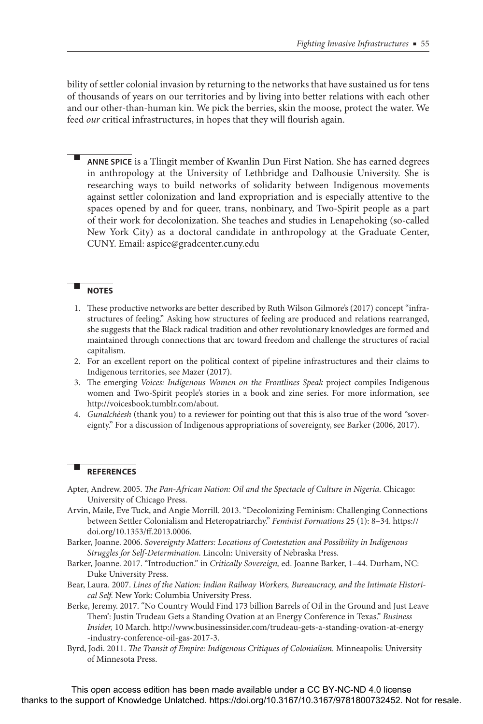bility of settler colonial invasion by returning to the networks that have sustained us for tens of thousands of years on our territories and by living into better relations with each other and our other-than-human kin. We pick the berries, skin the moose, protect the water. We feed *our* critical infrastructures, in hopes that they will flourish again.

n **ANNE SPICE** is a Tlingit member of Kwanlin Dun First Nation. She has earned degrees in anthropology at the University of Lethbridge and Dalhousie University. She is researching ways to build networks of solidarity between Indigenous movements against settler colonization and land expropriation and is especially attentive to the spaces opened by and for queer, trans, nonbinary, and Two-Spirit people as a part of their work for decolonization. She teaches and studies in Lenapehoking (so-called New York City) as a doctoral candidate in anthropology at the Graduate Center, CUNY. Email: aspice@gradcenter.cuny.edu

# **NOTES**

- 1. These productive networks are better described by Ruth Wilson Gilmore's (2017) concept "infrastructures of feeling." Asking how structures of feeling are produced and relations rearranged, she suggests that the Black radical tradition and other revolutionary knowledges are formed and maintained through connections that arc toward freedom and challenge the structures of racial capitalism.
- 2. For an excellent report on the political context of pipeline infrastructures and their claims to Indigenous territories, see Mazer (2017).
- 3. The emerging *Voices: Indigenous Women on the Frontlines Speak* project compiles Indigenous women and Two-Spirit people's stories in a book and zine series. For more information, see http://voicesbook.tumblr.com/about.
- 4. *Gunalchéesh* (thank you) to a reviewer for pointing out that this is also true of the word "sovereignty." For a discussion of Indigenous appropriations of sovereignty, see Barker (2006, 2017).

#### n **REFERENCES**

Apter, Andrew. 2005. *The Pan-African Nation: Oil and the Spectacle of Culture in Nigeria.* Chicago: University of Chicago Press.

- Arvin, Maile, Eve Tuck, and Angie Morrill. 2013. "Decolonizing Feminism: Challenging Connections between Settler Colonialism and Heteropatriarchy." *Feminist Formations* 25 (1): 8–34. https:// doi.org/10.1353/ff.2013.0006.
- Barker, Joanne. 2006. *Sovereignty Matters: Locations of Contestation and Possibility in Indigenous Struggles for Self-Determination.* Lincoln: University of Nebraska Press.
- Barker, Joanne. 2017. "Introduction." in *Critically Sovereign,* ed. Joanne Barker, 1–44. Durham, NC: Duke University Press.
- Bear, Laura. 2007. *Lines of the Nation: Indian Railway Workers, Bureaucracy, and the Intimate Historical Self.* New York: Columbia University Press.
- Berke, Jeremy. 2017. "No Country Would Find 173 billion Barrels of Oil in the Ground and Just Leave Them': Justin Trudeau Gets a Standing Ovation at an Energy Conference in Texas." *Business Insider,* 10 March. http://www.businessinsider.com/trudeau-gets-a-standing-ovation-at-energy -industry-conference-oil-gas-2017-3.
- Byrd, Jodi. 2011. *The Transit of Empire: Indigenous Critiques of Colonialism.* Minneapolis: University of Minnesota Press.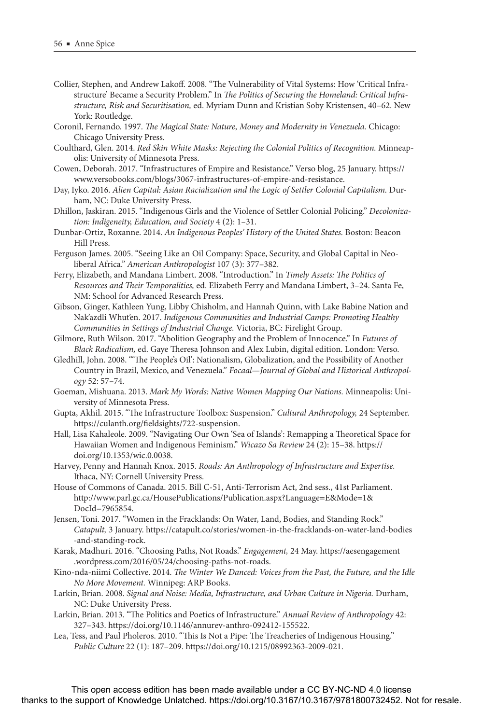- Collier, Stephen, and Andrew Lakoff. 2008. "The Vulnerability of Vital Systems: How 'Critical Infrastructure' Became a Security Problem." In *The Politics of Securing the Homeland: Critical Infrastructure, Risk and Securitisation,* ed. Myriam Dunn and Kristian Soby Kristensen, 40–62. New York: Routledge.
- Coronil, Fernando. 1997. *The Magical State: Nature, Money and Modernity in Venezuela.* Chicago: Chicago University Press.
- Coulthard, Glen. 2014. *Red Skin White Masks: Rejecting the Colonial Politics of Recognition.* Minneapolis: University of Minnesota Press.
- Cowen, Deborah. 2017. "Infrastructures of Empire and Resistance." Verso blog, 25 January. https:// www.versobooks.com/blogs/3067-infrastructures-of-empire-and-resistance.
- Day, Iyko. 2016. *Alien Capital: Asian Racialization and the Logic of Settler Colonial Capitalism.* Durham, NC: Duke University Press.
- Dhillon, Jaskiran. 2015. "Indigenous Girls and the Violence of Settler Colonial Policing." *Decolonization: Indigeneity, Education, and Society* 4 (2): 1–31.
- Dunbar-Ortiz, Roxanne. 2014. *An Indigenous Peoples' History of the United States.* Boston: Beacon Hill Press.
- Ferguson James. 2005. "Seeing Like an Oil Company: Space, Security, and Global Capital in Neoliberal Africa." *American Anthropologist* 107 (3): 377–382.
- Ferry, Elizabeth, and Mandana Limbert. 2008. "Introduction." In *Timely Assets: The Politics of Resources and Their Temporalities,* ed. Elizabeth Ferry and Mandana Limbert, 3–24. Santa Fe, NM: School for Advanced Research Press.
- Gibson, Ginger, Kathleen Yung, Libby Chisholm, and Hannah Quinn, with Lake Babine Nation and Nak'azdli Whut'en. 2017. *Indigenous Communities and Industrial Camps: Promoting Healthy Communities in Settings of Industrial Change.* Victoria, BC: Firelight Group.
- Gilmore, Ruth Wilson. 2017. "Abolition Geography and the Problem of Innocence." In *Futures of Black Radicalism,* ed. Gaye Theresa Johnson and Alex Lubin, digital edition. London: Verso.
- Gledhill, John. 2008. "'The People's Oil': Nationalism, Globalization, and the Possibility of Another Country in Brazil, Mexico, and Venezuela." *Focaal—Journal of Global and Historical Anthropology* 52: 57–74.
- Goeman, Mishuana. 2013. *Mark My Words: Native Women Mapping Our Nations.* Minneapolis: University of Minnesota Press.
- Gupta, Akhil. 2015. "The Infrastructure Toolbox: Suspension." *Cultural Anthropology,* 24 September. https://culanth.org/fieldsights/722-suspension.
- Hall, Lisa Kahaleole. 2009. "Navigating Our Own 'Sea of Islands': Remapping a Theoretical Space for Hawaiian Women and Indigenous Feminism." *Wicazo Sa Review* 24 (2): 15–38. https:// doi.org/10.1353/wic.0.0038.
- Harvey, Penny and Hannah Knox. 2015. *Roads: An Anthropology of Infrastructure and Expertise.* Ithaca, NY: Cornell University Press.
- House of Commons of Canada. 2015. Bill C-51, Anti-Terrorism Act, 2nd sess., 41st Parliament. http://www.parl.gc.ca/HousePublications/Publication.aspx?Language=E&Mode=1& DocId=7965854.
- Jensen, Toni. 2017. "Women in the Fracklands: On Water, Land, Bodies, and Standing Rock." *Catapult,* 3 January. https://catapult.co/stories/women-in-the-fracklands-on-water-land-bodies -and-standing-rock.
- Karak, Madhuri. 2016. "Choosing Paths, Not Roads." *Engagement,* 24 May. https://aesengagement .wordpress.com/2016/05/24/choosing-paths-not-roads.
- Kino-nda-niimi Collective. 2014. *The Winter We Danced: Voices from the Past, the Future, and the Idle No More Movement.* Winnipeg: ARP Books.
- Larkin, Brian. 2008. *Signal and Noise: Media, Infrastructure, and Urban Culture in Nigeria.* Durham, NC: Duke University Press.
- Larkin, Brian. 2013. "The Politics and Poetics of Infrastructure." *Annual Review of Anthropology* 42: 327–343. https://doi.org/10.1146/annurev-anthro-092412-155522.
- Lea, Tess, and Paul Pholeros. 2010. "This Is Not a Pipe: The Treacheries of Indigenous Housing." *Public Culture* 22 (1): 187–209. https://doi.org/10.1215/08992363-2009-021.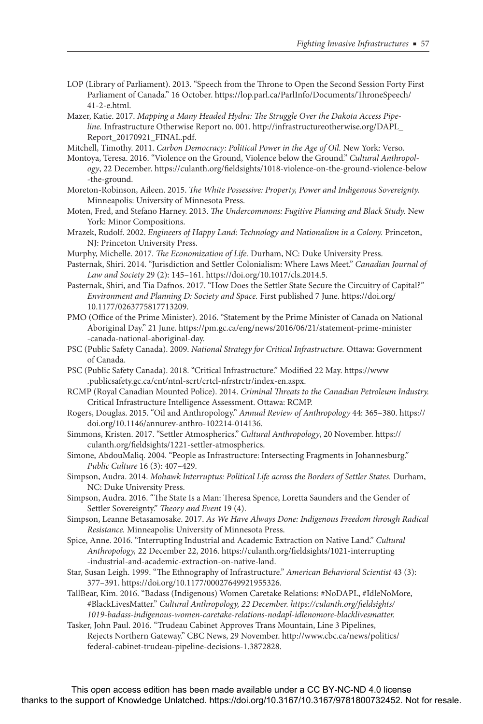- LOP (Library of Parliament). 2013. "Speech from the Throne to Open the Second Session Forty First Parliament of Canada." 16 October. https://lop.parl.ca/ParlInfo/Documents/ThroneSpeech/ 41-2-e.html.
- Mazer, Katie. 2017. *Mapping a Many Headed Hydra: The Struggle Over the Dakota Access Pipeline.* Infrastructure Otherwise Report no. 001. http://infrastructureotherwise.org/DAPL\_ Report\_20170921\_FINAL.pdf.
- Mitchell, Timothy. 2011. *Carbon Democracy: Political Power in the Age of Oil.* New York: Verso.
- Montoya, Teresa. 2016. "Violence on the Ground, Violence below the Ground." *Cultural Anthropology*, 22 December. https://culanth.org/fieldsights/1018-violence-on-the-ground-violence-below -the-ground.
- Moreton-Robinson, Aileen. 2015. *The White Possessive: Property, Power and Indigenous Sovereignty.*  Minneapolis: University of Minnesota Press.
- Moten, Fred, and Stefano Harney. 2013. *The Undercommons: Fugitive Planning and Black Study.* New York: Minor Compositions.
- Mrazek, Rudolf. 2002. *Engineers of Happy Land: Technology and Nationalism in a Colony.* Princeton, NJ: Princeton University Press.
- Murphy, Michelle. 2017. *The Economization of Life.* Durham, NC: Duke University Press.
- Pasternak, Shiri. 2014. "Jurisdiction and Settler Colonialism: Where Laws Meet." *Canadian Journal of Law and Society* 29 (2): 145–161. https://doi.org/10.1017/cls.2014.5.
- Pasternak, Shiri, and Tia Dafnos. 2017. "How Does the Settler State Secure the Circuitry of Capital?" *Environment and Planning D: Society and Space.* First published 7 June. https://doi.org/ 10.1177/0263775817713209.
- PMO (Office of the Prime Minister). 2016. "Statement by the Prime Minister of Canada on National Aboriginal Day." 21 June. https://pm.gc.ca/eng/news/2016/06/21/statement-prime-minister -canada-national-aboriginal-day.
- PSC (Public Safety Canada). 2009. *National Strategy for Critical Infrastructure.* Ottawa: Government of Canada.
- PSC (Public Safety Canada). 2018. "Critical Infrastructure." Modified 22 May. https://www .publicsafety.gc.ca/cnt/ntnl-scrt/crtcl-nfrstrctr/index-en.aspx.
- RCMP (Royal Canadian Mounted Police). 2014. *Criminal Threats to the Canadian Petroleum Industry.* Critical Infrastructure Intelligence Assessment. Ottawa: RCMP.
- Rogers, Douglas. 2015. "Oil and Anthropology." *Annual Review of Anthropology* 44: 365–380. https:// doi.org/10.1146/annurev-anthro-102214-014136.
- Simmons, Kristen. 2017. "Settler Atmospherics." *Cultural Anthropology*, 20 November. https:// culanth.org/fieldsights/1221-settler-atmospherics.
- Simone, AbdouMaliq. 2004. "People as Infrastructure: Intersecting Fragments in Johannesburg." *Public Culture* 16 (3): 407–429.
- Simpson, Audra. 2014. *Mohawk Interruptus: Political Life across the Borders of Settler States.* Durham, NC: Duke University Press.
- Simpson, Audra. 2016. "The State Is a Man: Theresa Spence, Loretta Saunders and the Gender of Settler Sovereignty." *Theory and Event* 19 (4).
- Simpson, Leanne Betasamosake. 2017. *As We Have Always Done: Indigenous Freedom through Radical Resistance.* Minneapolis: University of Minnesota Press.
- Spice, Anne. 2016. "Interrupting Industrial and Academic Extraction on Native Land." *Cultural Anthropology,* 22 December 22, 2016. https://culanth.org/fieldsights/1021-interrupting -industrial-and-academic-extraction-on-native-land.
- Star, Susan Leigh. 1999. "The Ethnography of Infrastructure." *American Behavioral Scientist* 43 (3): 377–391. https://doi.org/10.1177/00027649921955326.
- TallBear, Kim. 2016. "Badass (Indigenous) Women Caretake Relations: #NoDAPL, #IdleNoMore, #BlackLivesMatter." *Cultural Anthropology, 22 December. https://culanth.org/fieldsights/ 1019-badass-indigenous-women-caretake-relations-nodapl-idlenomore-blacklivesmatter.*
- Tasker, John Paul. 2016. "Trudeau Cabinet Approves Trans Mountain, Line 3 Pipelines, Rejects Northern Gateway." CBC News, 29 November. http://www.cbc.ca/news/politics/ federal-cabinet-trudeau-pipeline-decisions-1.3872828.